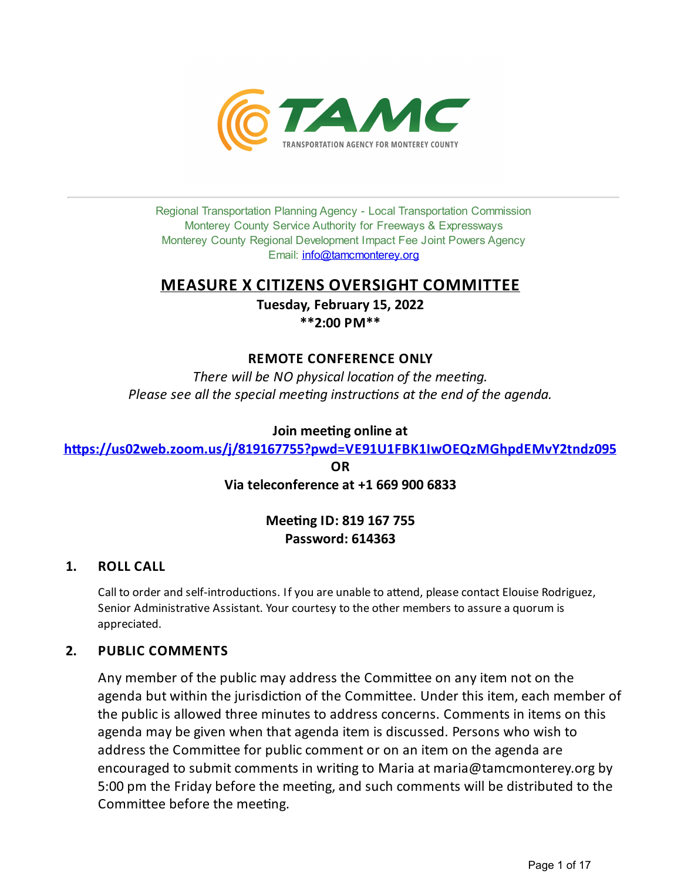

Regional Transportation Planning Agency - Local Transportation Commission Monterey County Service Authority for Freeways & Expressways Monterey County Regional Development Impact Fee Joint Powers Agency Email: *[info@tamcmonterey.org](file:///C:/Windows/TEMP/info@tamcmonterey.org)* 

## **MEASURE X CITIZENS OVERSIGHT COMMITTEE**

**Tuesday, February 15, 2022 \*\*2:00 PM\*\***

## **REMOTE CONFERENCE ONLY**

*There* will be NO physical location of the meeting. *Please see* all the *special* meeting *instructions* at the end of the *agenda*.

## **Join** meeting online at

https://us02web.zoom.us/j/819167755?pwd=VE91U1FBK1IwOEQzMGhpdEMvY2tndz095

**OR Via teleconference at +1 669 900 6833**

## **Mee\*ngID: 819 167 755 Password: 614363**

## **1. ROLL CALL**

Call to order and self-introductions. If you are unable to attend, please contact Elouise Rodriguez, Senior Administrative Assistant. Your courtesy to the other members to assure a quorum is appreciated.

## **2. PUBLIC COMMENTS**

Any member of the public may address the Committee on any item not on the agenda but within the jurisdiction of the Committee. Under this item, each member of the public is allowed three minutes to address concerns. Comments in items on this agenda may be given when that agenda item is discussed. Persons who wish to address the Committee for public comment or on an item on the agenda are encouraged to submit comments in writing to Maria at maria@tamcmonterey.org by 5:00 pm the Friday before the meeting, and such comments will be distributed to the Committee before the meeting.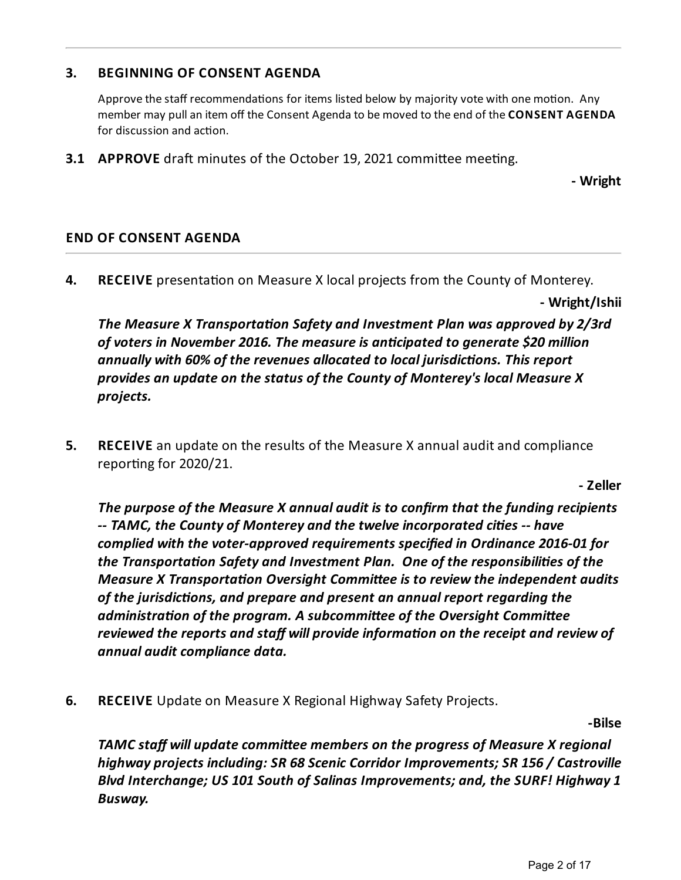## **3. BEGINNING OF CONSENT AGENDA**

Approve the staff recommendations for items listed below by majority vote with one motion. Any member may pullan item off the Consent Agendato bemoved to the end of the **CONSENT AGENDA** for discussion and action.

**3.1 APPROVE** draft minutes of the October 19, 2021 committee meeting.

**- Wright**

## **END OF CONSENT AGENDA**

**4. RECEIVE** presentation on Measure X local projects from the County of Monterey.

**- Wright/Ishii**

*The Measure X Transportation Safety and Investment Plan was approved by 2/3rd ofvoters in November 2016. The measureis ancipated to generate \$20 million annually with 60% of therevenues allocated to local jurisdicons. This report provides an update on thestatus of the County of Monterey's local Measure X projects.*

**5. RECEIVE** an update on the results of the Measure X annual audit and compliance reporting for 2020/21.

**- Zeller**

*The purpose of the Measure X annual audit is to confirm that thefunding recipients -- TAMC, the County of Monterey and thetwelveincorporated cies -- have complied with thevoter-approved requirements specified in Ordinance 2016-01 for the Transportaon Safety and Investment Plan. One of theresponsibilies of the Measure X* Transportation Oversight Committee is to review the independent audits *of thejurisdicons, and prepare and present an annual report regarding the administration of the program.* A *subcommittee of the Oversight Committee reviewed* the reports and staff will provide information on the receipt and review of *annual audit compliance data.*

**6. RECEIVE** Update on Measure X Regional Highway Safety Projects.

**-Bilse**

*TAMC* **staff will update committee members on the progress of Measure X regional** *highway projects including: SR 68 Scenic Corridor Improvements; SR 156 / Castroville Blvd Interchange; US 101 South of Salinas Improvements; and, the SURF! Highway 1 Busway.*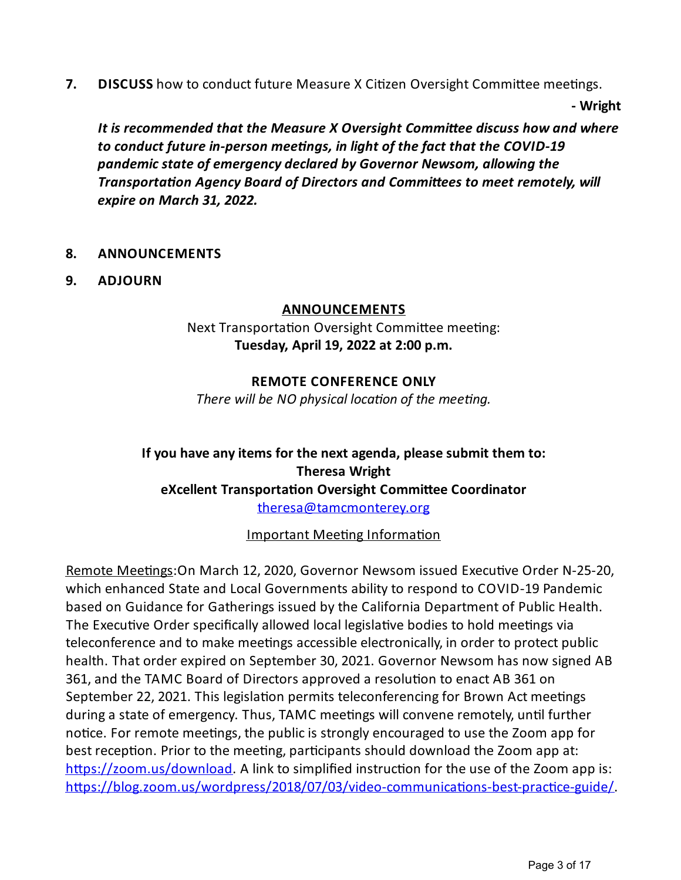**7. DISCUSS** how to conduct future Measure X Citizen Oversight Committee meetings.

**- Wright**

*It* is recommended that the Measure *X* Oversight Committee discuss how and where *to conduct futurein-person meengs, in light of thefact that the COVID-19 pandemic state ofemergency declared by Governor Newsom, allowing the Transportation Agency Board of Directors and Committees to meet remotely, will expire on March 31, 2022.*

## **8. ANNOUNCEMENTS**

**9. ADJOURN**

## **ANNOUNCEMENTS**

Next Transportation Oversight Committee meeting: **Tuesday, April 19, 2022 at 2:00 p.m.**

## **REMOTE CONFERENCE ONLY**

*There* will be NO physical location of the meeting.

## **Ifyou have anyitems for the next agenda, please submit them to: Theresa Wright eXcellent Transportation Oversight Committee Coordinator** [theresa@tamcmonterey.org](mailto:theresa@tamcmonterey.org)

Important Meeting Information

Remote Meetings: On March 12, 2020, Governor Newsom issued Executive Order N-25-20, which enhanced State and Local Governments ability to respond to COVID-19 Pandemic based on Guidance for Gatherings issued by the California Department of Public Health. The Executive Order specifically allowed local legislative bodies to hold meetings via teleconference and to make meetings accessible electronically, in order to protect public health. That order expired on September 30, 2021. Governor Newsom has now signed AB 361, and the TAMC Board of Directors approved a resolution to enact AB 361 on September 22, 2021. This legislation permits teleconferencing for Brown Act meetings during a state of emergency. Thus, TAMC meetings will convene remotely, until further notice. For remote meetings, the public is strongly encouraged to use the Zoom app for best reception. Prior to the meeting, participants should download the Zoom app at: https://zoom.us/download. A link to simplified instruction for the use of the Zoom app is: https://blog.zoom.us/wordpress/2018/07/03/video-communications-best-practice-guide/.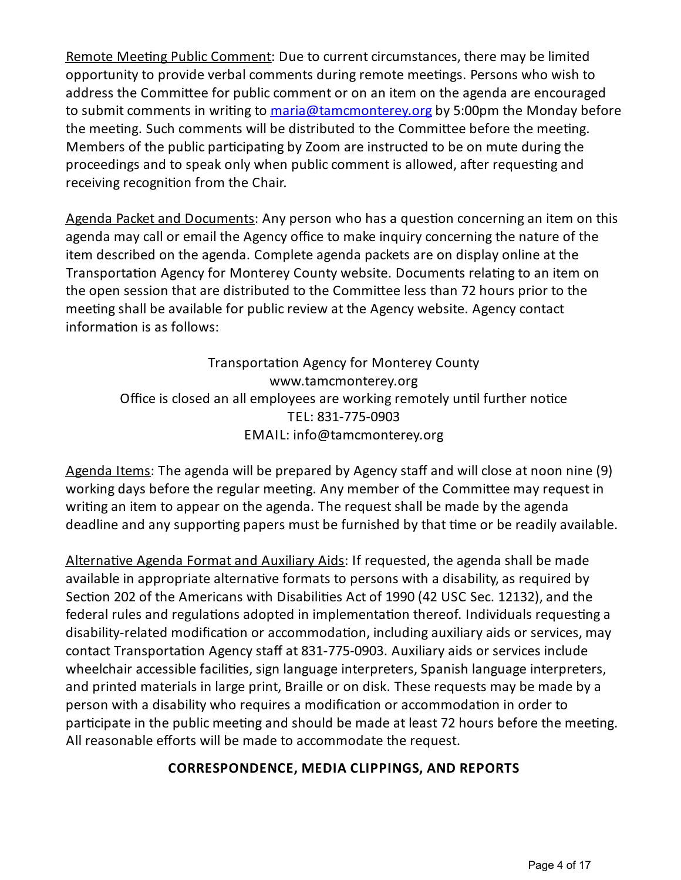Remote Meeting Public Comment: Due to current circumstances, there may be limited opportunity to provide verbal comments during remote meetings. Persons who wish to address the Committee for public comment or on an item on the agenda are encouraged to submit comments in writing to [maria@tamcmonterey.org](mailto:maria@tamcmonterey.org) by 5:00pm the Monday before the meeting. Such comments will be distributed to the Committee before the meeting. Members of the public participating by Zoom are instructed to be on mute during the proceedings and to speak only when public comment is allowed, after requesting and receiving recognition from the Chair.

Agenda Packet and Documents: Any person who has a question concerning an item on this agenda may call or email the Agency office to make inquiry concerning the nature of the item described on the agenda. Complete agenda packets are on display online at the Transportation Agency for Monterey County website. Documents relating to an item on the open session that are distributed to the Committee less than 72 hours prior to the meeting shall be available for public review at the Agency website. Agency contact information is as follows:

Transportation Agency for Monterey County www.tamcmonterey.org Office is closed an all employees are working remotely until further notice TEL: 831-775-0903 EMAIL: info@tamcmonterey.org

Agenda Items: The agenda will be prepared by Agency staff and will close at noon nine (9) working days before the regular meeting. Any member of the Committee may request in writing an item to appear on the agenda. The request shall be made by the agenda deadline and any supporting papers must be furnished by that time or be readily available.

Alternative Agenda Format and Auxiliary Aids: If requested, the agenda shall be made available in appropriate alternative formats to persons with a disability, as required by Section 202 of the Americans with Disabilities Act of 1990 (42 USC Sec. 12132), and the federal rules and regulations adopted in implementation thereof. Individuals requesting a disability-related modification or accommodation, including auxiliary aids or services, may contact Transportation Agency staff at 831-775-0903. Auxiliary aids or services include wheelchair accessible facilities, sign language interpreters, Spanish language interpreters, and printed materials in large print, Braille or on disk. These requests may be made by a person with a disability who requires a modification or accommodation in order to participate in the public meeting and should be made at least 72 hours before the meeting. All reasonable efforts will be made to accommodate the request.

## **CORRESPONDENCE, MEDIA CLIPPINGS, AND REPORTS**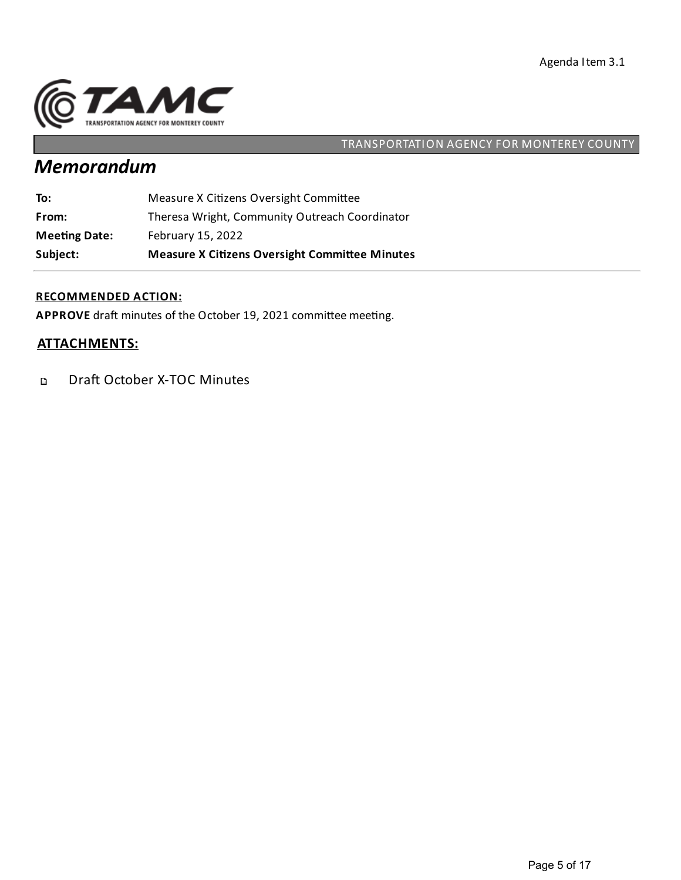

# *Memorandum*

| Subject:             | <b>Measure X Citizens Oversight Committee Minutes</b> |
|----------------------|-------------------------------------------------------|
| <b>Meeting Date:</b> | February 15, 2022                                     |
| From:                | Theresa Wright, Community Outreach Coordinator        |
| To:                  | Measure X Citizens Oversight Committee                |

### **RECOMMENDED ACTION:**

APPROVE draft minutes of the October 19, 2021 committee meeting.

## **ATTACHMENTS:**

Draft October X-TOC Minutes  $\mathbf{D}$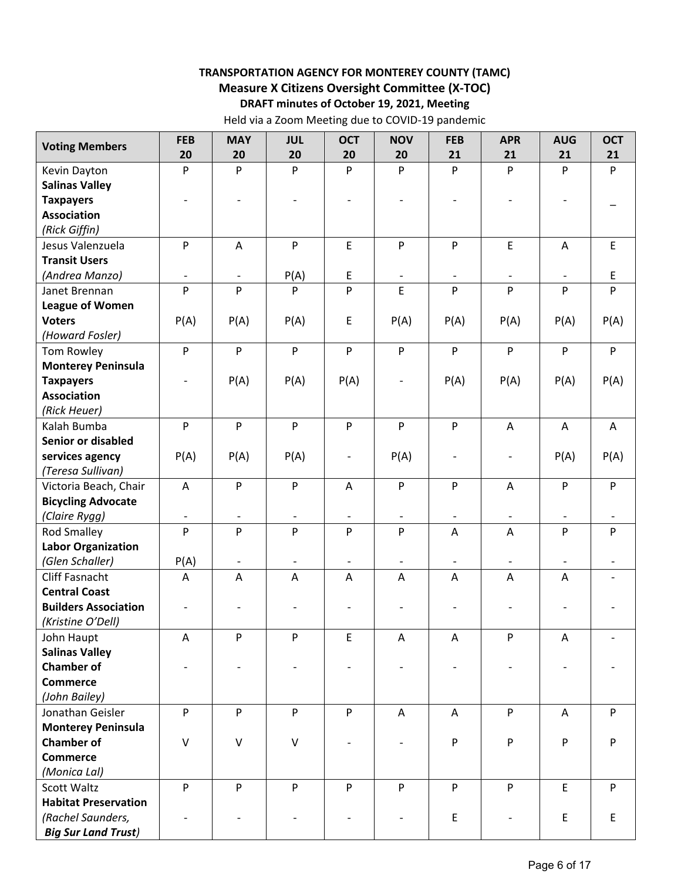### **TRANSPORTATION AGENCY FOR MONTEREY COUNTY (TAMC) Measure X Citizens Oversight Committee (X‐TOC) DRAFT minutes of October 19, 2021, Meeting**

Held via a Zoom Meeting due to COVID‐19 pandemic

| <b>Voting Members</b>       | <b>FEB</b>                | <b>MAY</b>               | <b>JUL</b>               | <b>OCT</b>               | <b>NOV</b>                | <b>FEB</b>               | <b>APR</b>               | <b>AUG</b>                | <b>OCT</b>  |
|-----------------------------|---------------------------|--------------------------|--------------------------|--------------------------|---------------------------|--------------------------|--------------------------|---------------------------|-------------|
|                             | 20                        | 20                       | 20                       | 20                       | 20                        | 21                       | 21                       | 21                        | 21          |
| Kevin Dayton                | P                         | P                        | P                        | P                        | $\mathsf{P}$              | P                        | P                        | P                         | P           |
| <b>Salinas Valley</b>       |                           |                          |                          |                          |                           |                          |                          |                           |             |
| <b>Taxpayers</b>            |                           |                          |                          |                          |                           |                          |                          |                           |             |
| <b>Association</b>          |                           |                          |                          |                          |                           |                          |                          |                           |             |
| (Rick Giffin)               |                           |                          |                          |                          |                           |                          |                          |                           |             |
| Jesus Valenzuela            | $\mathsf{P}$              | $\mathsf{A}$             | P                        | E                        | P                         | P                        | E                        | $\boldsymbol{\mathsf{A}}$ | $\mathsf E$ |
| <b>Transit Users</b>        |                           |                          |                          |                          |                           |                          |                          |                           |             |
| (Andrea Manzo)              |                           | $\overline{\phantom{a}}$ | P(A)                     | E                        | $\overline{\phantom{a}}$  | $\overline{\phantom{a}}$ | $\overline{\phantom{a}}$ | $\overline{\phantom{a}}$  | E           |
| Janet Brennan               | P                         | P                        | P                        | P                        | E                         | P                        | P                        | P                         | P           |
| <b>League of Women</b>      |                           |                          |                          |                          |                           |                          |                          |                           |             |
| <b>Voters</b>               | P(A)                      | P(A)                     | P(A)                     | E                        | P(A)                      | P(A)                     | P(A)                     | P(A)                      | P(A)        |
| (Howard Fosler)             |                           |                          |                          |                          |                           |                          |                          |                           |             |
| Tom Rowley                  | P                         | P                        | $\mathsf{P}$             | P                        | $\boldsymbol{\mathsf{P}}$ | P                        | P                        | P                         | P           |
| <b>Monterey Peninsula</b>   |                           |                          |                          |                          |                           |                          |                          |                           |             |
| <b>Taxpayers</b>            | $\overline{\phantom{a}}$  | P(A)                     | P(A)                     | P(A)                     | $\overline{\phantom{a}}$  | P(A)                     | P(A)                     | P(A)                      | P(A)        |
| <b>Association</b>          |                           |                          |                          |                          |                           |                          |                          |                           |             |
| (Rick Heuer)                |                           |                          |                          |                          |                           |                          |                          |                           |             |
| Kalah Bumba                 | P                         | P                        | ${\sf P}$                | ${\sf P}$                | $\boldsymbol{\mathsf{P}}$ | ${\sf P}$                | $\mathsf{A}$             | A                         | A           |
| Senior or disabled          |                           |                          |                          |                          |                           |                          |                          |                           |             |
| services agency             | P(A)                      | P(A)                     | P(A)                     | $\overline{\phantom{a}}$ | P(A)                      | $\overline{\phantom{a}}$ | $\overline{\phantom{a}}$ | P(A)                      | P(A)        |
| (Teresa Sullivan)           |                           |                          |                          |                          |                           |                          |                          |                           |             |
| Victoria Beach, Chair       | A                         | P                        | P                        | A                        | $\boldsymbol{\mathsf{P}}$ | P                        | A                        | P                         | P           |
| <b>Bicycling Advocate</b>   |                           |                          |                          |                          |                           |                          |                          |                           |             |
| (Claire Rygg)               | $\overline{\phantom{a}}$  |                          |                          |                          |                           | $\qquad \qquad -$        | $\blacksquare$           |                           |             |
| <b>Rod Smalley</b>          | P                         | P                        | P                        | P                        | P                         | Α                        | $\overline{A}$           | P                         | P           |
| <b>Labor Organization</b>   |                           |                          |                          |                          |                           |                          |                          |                           |             |
| (Glen Schaller)             | P(A)                      | $\overline{\phantom{a}}$ | $\overline{\phantom{a}}$ | $\overline{\phantom{a}}$ | $\overline{\phantom{a}}$  | $\overline{\phantom{a}}$ | $\overline{\phantom{a}}$ | $\overline{\phantom{a}}$  |             |
| Cliff Fasnacht              | Α                         | A                        | A                        | A                        | A                         | Α                        | A                        | A                         |             |
| <b>Central Coast</b>        |                           |                          |                          |                          |                           |                          |                          |                           |             |
| <b>Builders Association</b> |                           |                          |                          |                          |                           |                          |                          |                           |             |
| (Kristine O'Dell)           |                           |                          |                          |                          |                           |                          |                          |                           |             |
| John Haupt                  | A                         | P                        | ${\sf P}$                | E                        | Α                         | A                        | P                        | Α                         |             |
| <b>Salinas Valley</b>       |                           |                          |                          |                          |                           |                          |                          |                           |             |
| <b>Chamber of</b>           |                           |                          |                          |                          |                           |                          |                          |                           |             |
| <b>Commerce</b>             |                           |                          |                          |                          |                           |                          |                          |                           |             |
| (John Bailey)               |                           |                          |                          |                          |                           |                          |                          |                           |             |
| Jonathan Geisler            | $\boldsymbol{\mathsf{P}}$ | P                        | P                        | P                        | A                         | Α                        | P                        | A                         | P           |
| <b>Monterey Peninsula</b>   |                           |                          |                          |                          |                           |                          |                          |                           |             |
| <b>Chamber of</b>           | $\vee$                    | $\vee$                   | $\vee$                   |                          |                           | P                        | P                        | P                         | P           |
| <b>Commerce</b>             |                           |                          |                          |                          |                           |                          |                          |                           |             |
| (Monica Lal)                |                           |                          |                          |                          |                           |                          |                          |                           |             |
| Scott Waltz                 | P                         | ${\sf P}$                | P                        | P                        | ${\sf P}$                 | P                        | P                        | E                         | P           |
| <b>Habitat Preservation</b> |                           |                          |                          |                          |                           |                          |                          |                           |             |
| (Rachel Saunders,           |                           |                          |                          |                          |                           | $\mathsf E$              |                          | E                         | E           |
| <b>Big Sur Land Trust)</b>  |                           |                          |                          |                          |                           |                          |                          |                           |             |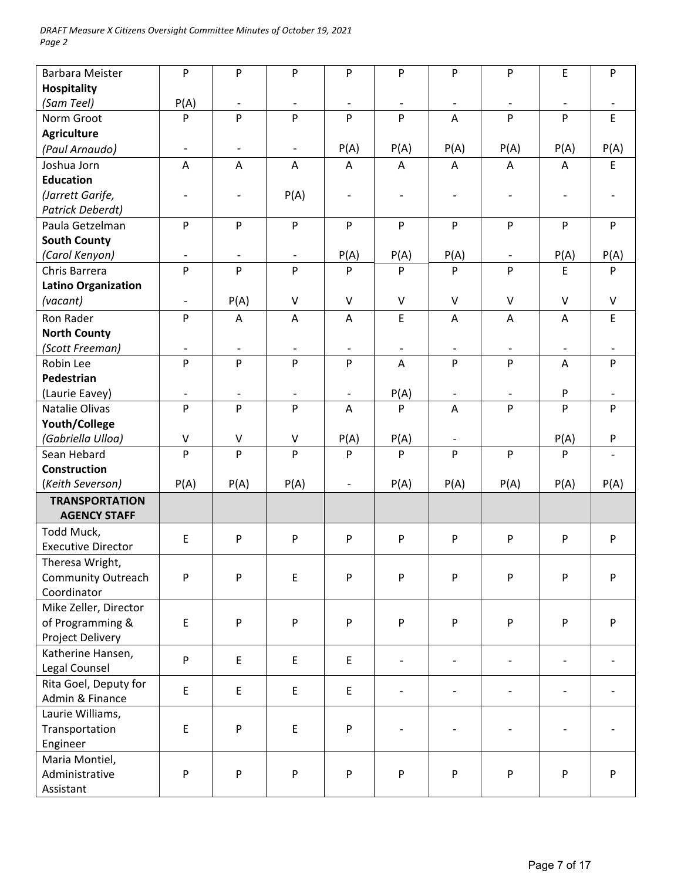| <b>Barbara Meister</b>     | P                            | P                        | P                        | P                        | P                        | P                        | P                         | E                         | ${\sf P}$   |
|----------------------------|------------------------------|--------------------------|--------------------------|--------------------------|--------------------------|--------------------------|---------------------------|---------------------------|-------------|
| <b>Hospitality</b>         |                              |                          |                          |                          |                          |                          |                           |                           |             |
| (Sam Teel)                 | P(A)                         | $\overline{\phantom{a}}$ | $\overline{\phantom{a}}$ | $\overline{\phantom{a}}$ | $\overline{\phantom{a}}$ | $\overline{\phantom{a}}$ | $\overline{\phantom{a}}$  | $\overline{\phantom{a}}$  |             |
| Norm Groot                 | P                            | P                        | P                        | P                        | P                        | A                        | P                         | P                         | $\mathsf E$ |
| <b>Agriculture</b>         |                              |                          |                          |                          |                          |                          |                           |                           |             |
| (Paul Arnaudo)             | $\blacksquare$               | $\overline{\phantom{a}}$ | $\overline{\phantom{a}}$ | P(A)                     | P(A)                     | P(A)                     | P(A)                      | P(A)                      | P(A)        |
| Joshua Jorn                | A                            | A                        | A                        | A                        | A                        | A                        | Α                         | A                         | E           |
| <b>Education</b>           |                              |                          |                          |                          |                          |                          |                           |                           |             |
| (Jarrett Garife,           | $\overline{\phantom{a}}$     | $\overline{\phantom{a}}$ | P(A)                     | $\overline{\phantom{a}}$ | $\overline{\phantom{a}}$ | $\overline{\phantom{a}}$ | $\overline{a}$            | $\overline{\phantom{a}}$  |             |
| Patrick Deberdt)           |                              |                          |                          |                          |                          |                          |                           |                           |             |
| Paula Getzelman            | ${\sf P}$                    | P                        | P                        | P                        | P                        | P                        | P                         | ${\sf P}$                 | P           |
| <b>South County</b>        |                              |                          |                          |                          |                          |                          |                           |                           |             |
| (Carol Kenyon)             | $\qquad \qquad \blacksquare$ | $\overline{\phantom{a}}$ | $\overline{\phantom{a}}$ | P(A)                     | P(A)                     | P(A)                     | $\overline{\phantom{a}}$  | P(A)                      | P(A)        |
| Chris Barrera              | P                            | P                        | P                        | P                        | P                        | P                        | P                         | E                         | P           |
| <b>Latino Organization</b> |                              |                          |                          |                          |                          |                          |                           |                           |             |
| (vacant)                   | $\overline{\phantom{a}}$     | P(A)                     | $\vee$                   | $\vee$                   | $\vee$                   | $\vee$                   | $\vee$                    | $\vee$                    | $\vee$      |
| Ron Rader                  | ${\sf P}$                    | A                        | A                        | A                        | $\mathsf E$              | A                        | A                         | Α                         | $\mathsf E$ |
| <b>North County</b>        |                              |                          |                          |                          |                          |                          |                           |                           |             |
| (Scott Freeman)            |                              | $\overline{\phantom{a}}$ | $\overline{\phantom{a}}$ | $\overline{\phantom{a}}$ |                          | $\overline{\phantom{a}}$ | $\qquad \qquad -$         |                           |             |
| Robin Lee                  | P                            | P                        | P                        | P                        | A                        | P                        | P                         | A                         | P           |
| Pedestrian                 |                              |                          |                          |                          |                          |                          |                           |                           |             |
| (Laurie Eavey)             | $\overline{\phantom{a}}$     | $\overline{\phantom{a}}$ | $\overline{\phantom{a}}$ | $\blacksquare$           | P(A)                     | $\overline{\phantom{a}}$ | $\overline{\phantom{a}}$  | P                         |             |
| Natalie Olivas             | P                            | P                        | P                        | A                        | P                        | A                        | P                         | P                         | P           |
| Youth/College              |                              |                          |                          |                          |                          |                          |                           |                           |             |
| (Gabriella Ulloa)          | $\sf V$                      | V                        | V                        | P(A)                     | P(A)                     | $\overline{\phantom{a}}$ |                           | P(A)                      | P           |
| Sean Hebard                | ${\sf P}$                    | P                        | P                        | P                        | P                        | P                        | P                         | P                         |             |
| <b>Construction</b>        |                              |                          |                          |                          |                          |                          |                           |                           |             |
| (Keith Severson)           | P(A)                         | P(A)                     | P(A)                     | $\overline{\phantom{a}}$ | P(A)                     | P(A)                     | P(A)                      | P(A)                      | P(A)        |
| <b>TRANSPORTATION</b>      |                              |                          |                          |                          |                          |                          |                           |                           |             |
| <b>AGENCY STAFF</b>        |                              |                          |                          |                          |                          |                          |                           |                           |             |
| Todd Muck,                 | $\mathsf E$                  | P                        | P                        | ${\sf P}$                | P                        | P                        | ${\sf P}$                 | ${\sf P}$                 | P           |
| <b>Executive Director</b>  |                              |                          |                          |                          |                          |                          |                           |                           |             |
| Theresa Wright,            |                              |                          |                          |                          |                          |                          |                           |                           |             |
| <b>Community Outreach</b>  | P                            | P                        | E                        | P                        | ${\sf P}$                | P                        | ${\sf P}$                 | ${\sf P}$                 | ${\sf P}$   |
| Coordinator                |                              |                          |                          |                          |                          |                          |                           |                           |             |
| Mike Zeller, Director      |                              |                          |                          |                          |                          |                          |                           |                           |             |
| of Programming &           | E                            | P                        | P                        | P                        | P                        | P                        | ${\sf P}$                 | ${\sf P}$                 | P           |
| Project Delivery           |                              |                          |                          |                          |                          |                          |                           |                           |             |
| Katherine Hansen,          | P                            | E                        | E                        | E                        | $\overline{\phantom{a}}$ | $\overline{a}$           | $\overline{\phantom{a}}$  | $\overline{a}$            |             |
| Legal Counsel              |                              |                          |                          |                          |                          |                          |                           |                           |             |
| Rita Goel, Deputy for      | $\mathsf E$                  | E                        | E                        | E                        |                          |                          |                           |                           |             |
| Admin & Finance            |                              |                          |                          |                          |                          |                          |                           |                           |             |
| Laurie Williams,           |                              |                          |                          |                          |                          |                          |                           |                           |             |
| Transportation             | $\mathsf E$                  | P                        | E                        | P                        |                          |                          |                           |                           |             |
| Engineer                   |                              |                          |                          |                          |                          |                          |                           |                           |             |
| Maria Montiel,             |                              |                          |                          |                          |                          |                          |                           |                           |             |
| Administrative             | ${\sf P}$                    | P                        | P                        | $\sf P$                  | P                        | P                        | $\boldsymbol{\mathsf{P}}$ | $\boldsymbol{\mathsf{P}}$ | P           |
| Assistant                  |                              |                          |                          |                          |                          |                          |                           |                           |             |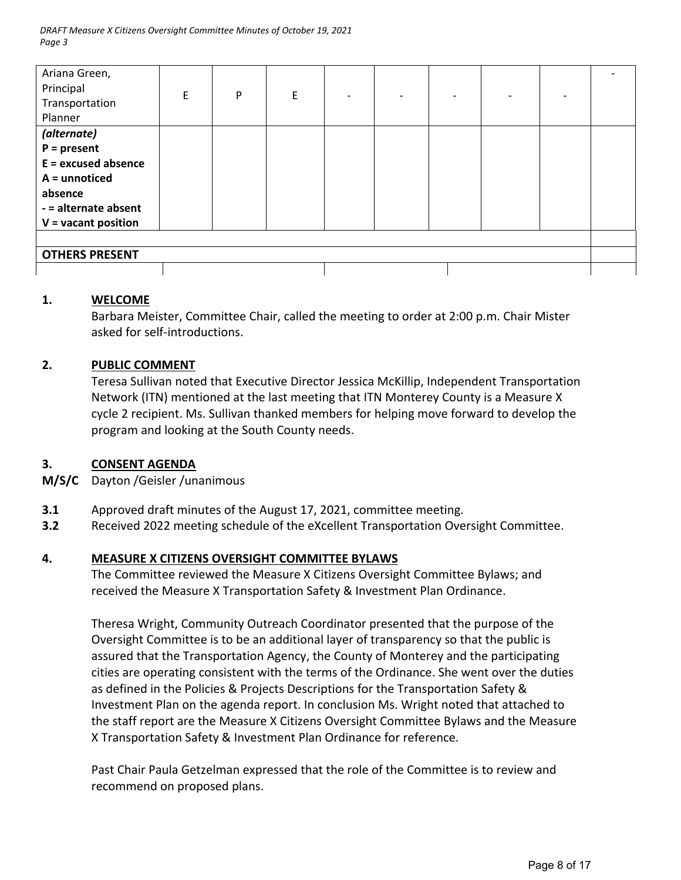| Ariana Green,         |   |   |   |                          |                          |  |  |
|-----------------------|---|---|---|--------------------------|--------------------------|--|--|
| Principal             | E | P | E | $\overline{\phantom{0}}$ | $\overline{\phantom{0}}$ |  |  |
| Transportation        |   |   |   |                          |                          |  |  |
| Planner               |   |   |   |                          |                          |  |  |
| (alternate)           |   |   |   |                          |                          |  |  |
| $P = present$         |   |   |   |                          |                          |  |  |
| $E =$ excused absence |   |   |   |                          |                          |  |  |
| $A =$ unnoticed       |   |   |   |                          |                          |  |  |
| absence               |   |   |   |                          |                          |  |  |
| - = alternate absent  |   |   |   |                          |                          |  |  |
| $V =$ vacant position |   |   |   |                          |                          |  |  |
|                       |   |   |   |                          |                          |  |  |
| <b>OTHERS PRESENT</b> |   |   |   |                          |                          |  |  |
|                       |   |   |   |                          |                          |  |  |

#### **1. WELCOME**

Barbara Meister, Committee Chair, called the meeting to order at 2:00 p.m. Chair Mister asked for self‐introductions.

#### **2. PUBLIC COMMENT**

Teresa Sullivan noted that Executive Director Jessica McKillip, Independent Transportation Network (ITN) mentioned at the last meeting that ITN Monterey County is a Measure X cycle 2 recipient. Ms. Sullivan thanked members for helping move forward to develop the program and looking at the South County needs.

#### **3. CONSENT AGENDA**

**M/S/C**  Dayton /Geisler /unanimous

- **3.1**  Approved draft minutes of the August 17, 2021, committee meeting.
- **3.2**  Received 2022 meeting schedule of the eXcellent Transportation Oversight Committee.

#### **4. MEASURE X CITIZENS OVERSIGHT COMMITTEE BYLAWS**

The Committee reviewed the Measure X Citizens Oversight Committee Bylaws; and received the Measure X Transportation Safety & Investment Plan Ordinance.

Theresa Wright, Community Outreach Coordinator presented that the purpose of the Oversight Committee is to be an additional layer of transparency so that the public is assured that the Transportation Agency, the County of Monterey and the participating cities are operating consistent with the terms of the Ordinance. She went over the duties as defined in the Policies & Projects Descriptions for the Transportation Safety & Investment Plan on the agenda report. In conclusion Ms. Wright noted that attached to the staff report are the Measure X Citizens Oversight Committee Bylaws and the Measure X Transportation Safety & Investment Plan Ordinance for reference.

Past Chair Paula Getzelman expressed that the role of the Committee is to review and recommend on proposed plans.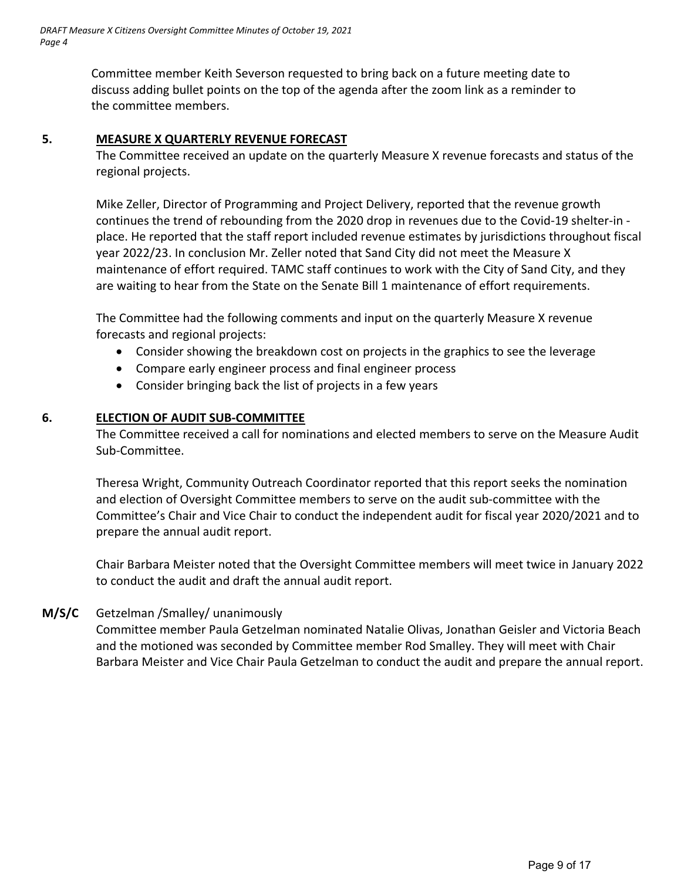Committee member Keith Severson requested to bring back on a future meeting date to discuss adding bullet points on the top of the agenda after the zoom link as a reminder to the committee members.

### **5. MEASURE X QUARTERLY REVENUE FORECAST**

The Committee received an update on the quarterly Measure X revenue forecasts and status of the regional projects.

Mike Zeller, Director of Programming and Project Delivery, reported that the revenue growth continues the trend of rebounding from the 2020 drop in revenues due to the Covid‐19 shelter‐in ‐ place. He reported that the staff report included revenue estimates by jurisdictions throughout fiscal year 2022/23. In conclusion Mr. Zeller noted that Sand City did not meet the Measure X maintenance of effort required. TAMC staff continues to work with the City of Sand City, and they are waiting to hear from the State on the Senate Bill 1 maintenance of effort requirements.

The Committee had the following comments and input on the quarterly Measure X revenue forecasts and regional projects:

- Consider showing the breakdown cost on projects in the graphics to see the leverage
- Compare early engineer process and final engineer process
- Consider bringing back the list of projects in a few years

## **6. ELECTION OF AUDIT SUB‐COMMITTEE**

The Committee received a call for nominations and elected members to serve on the Measure Audit Sub‐Committee.

Theresa Wright, Community Outreach Coordinator reported that this report seeks the nomination and election of Oversight Committee members to serve on the audit sub-committee with the Committee's Chair and Vice Chair to conduct the independent audit for fiscal year 2020/2021 and to prepare the annual audit report.

Chair Barbara Meister noted that the Oversight Committee members will meet twice in January 2022 to conduct the audit and draft the annual audit report.

#### **M/S/C**  Getzelman /Smalley/ unanimously

Committee member Paula Getzelman nominated Natalie Olivas, Jonathan Geisler and Victoria Beach and the motioned was seconded by Committee member Rod Smalley. They will meet with Chair Barbara Meister and Vice Chair Paula Getzelman to conduct the audit and prepare the annual report.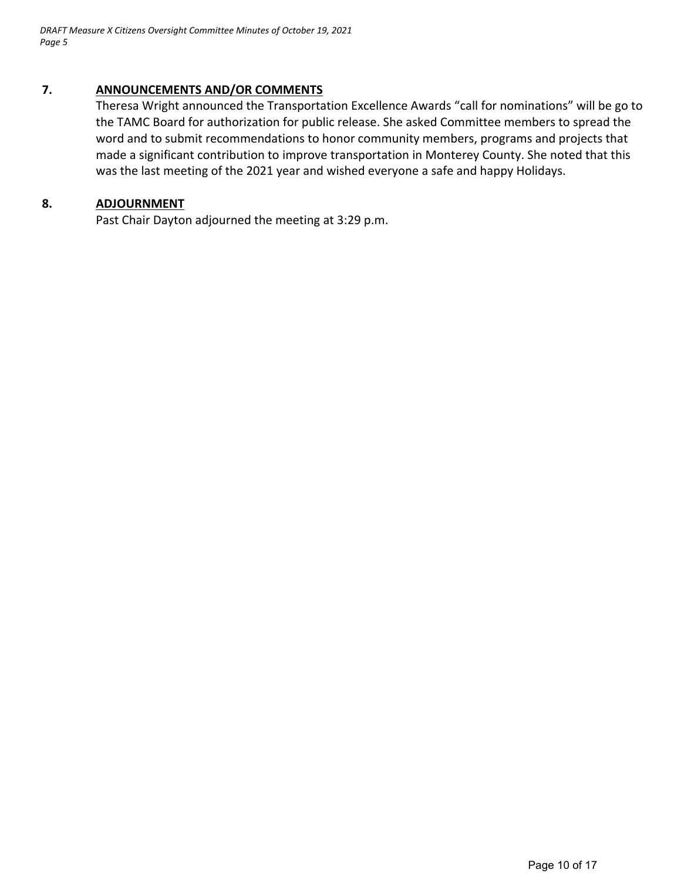*DRAFT Measure X Citizens Oversight Committee Minutes of October 19, 2021 Page 5*

#### **7. ANNOUNCEMENTS AND/OR COMMENTS**

Theresa Wright announced the Transportation Excellence Awards "call for nominations" will be go to the TAMC Board for authorization for public release. She asked Committee members to spread the word and to submit recommendations to honor community members, programs and projects that made a significant contribution to improve transportation in Monterey County. She noted that this was the last meeting of the 2021 year and wished everyone a safe and happy Holidays.

#### **8. ADJOURNMENT**

Past Chair Dayton adjourned the meeting at 3:29 p.m.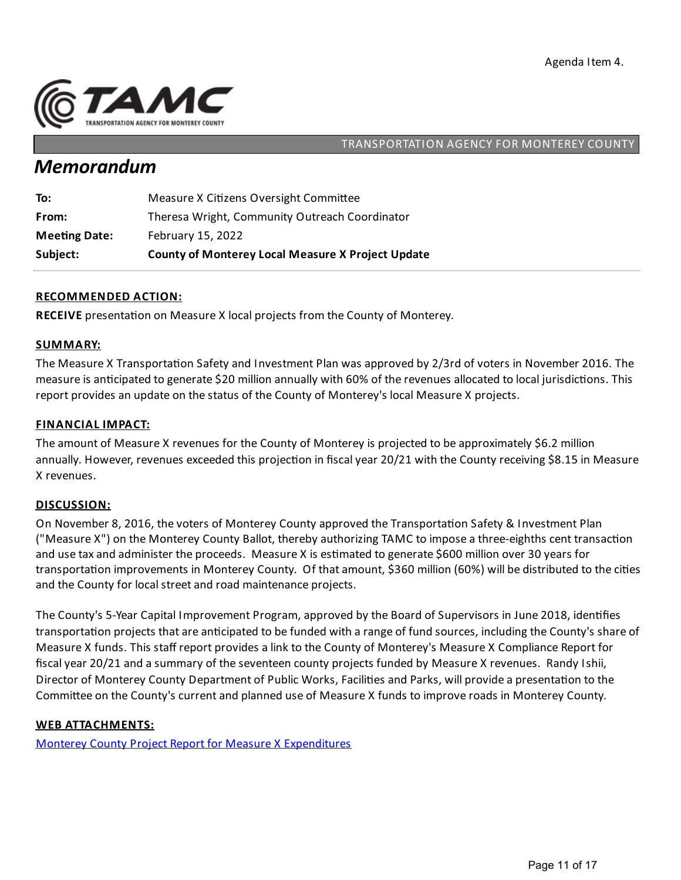

## *Memorandum*

| Subject:             | <b>County of Monterey Local Measure X Project Update</b> |
|----------------------|----------------------------------------------------------|
| <b>Meeting Date:</b> | February 15, 2022                                        |
| From:                | Theresa Wright, Community Outreach Coordinator           |
| To:                  | Measure X Citizens Oversight Committee                   |

#### **RECOMMENDED ACTION:**

**RECEIVE** presentation on Measure X local projects from the County of Monterey.

#### **SUMMARY:**

The Measure X Transportation Safety and Investment Plan was approved by 2/3rd of voters in November 2016. The measure is anticipated to generate \$20 million annually with 60% of the revenues allocated to local jurisdictions. This report provides an update on the status of the County of Monterey's local Measure X projects.

#### **FINANCIAL IMPACT:**

The amount of Measure X revenues for the County of Monterey is projected to be approximately \$6.2 million annually. However, revenues exceeded this projection in fiscal year 20/21 with the County receiving \$8.15 in Measure X revenues.

#### **DISCUSSION:**

On November 8, 2016, the voters of Monterey County approved the Transportation Safety & Investment Plan ("Measure X") on the Monterey County Ballot, thereby authorizing TAMC to impose a three-eighths cent transaction and use tax and administer the proceeds. Measure X is estimated to generate \$600 million over 30 years for transportation improvements in Monterey County. Of that amount, \$360 million (60%) will be distributed to the cities and the County for local street and road maintenance projects.

The County's 5-Year Capital Improvement Program, approved by the Board of Supervisors in June 2018, identifies transportation projects that are anticipated to be funded with a range of fund sources, including the County's share of Measure X funds. This staff report provides alink to the County of Monterey's Measure X Compliance Report for fiscal year 20/21 and a summary of the seventeen county projects funded by Measure X revenues. Randy Ishii, Director of Monterey County Department of Public Works, Facilities and Parks, will provide a presentation to the Committee on the County's current and planned use of Measure X funds to improve roads in Monterey County.

#### **WEB ATTACHMENTS:**

Monterey County Project Report for Measure X [Expenditures](https://www.tamcmonterey.org/files/cd18e26d4/County+-+Measure+X+FY20-21+Compliance+Report.pdf)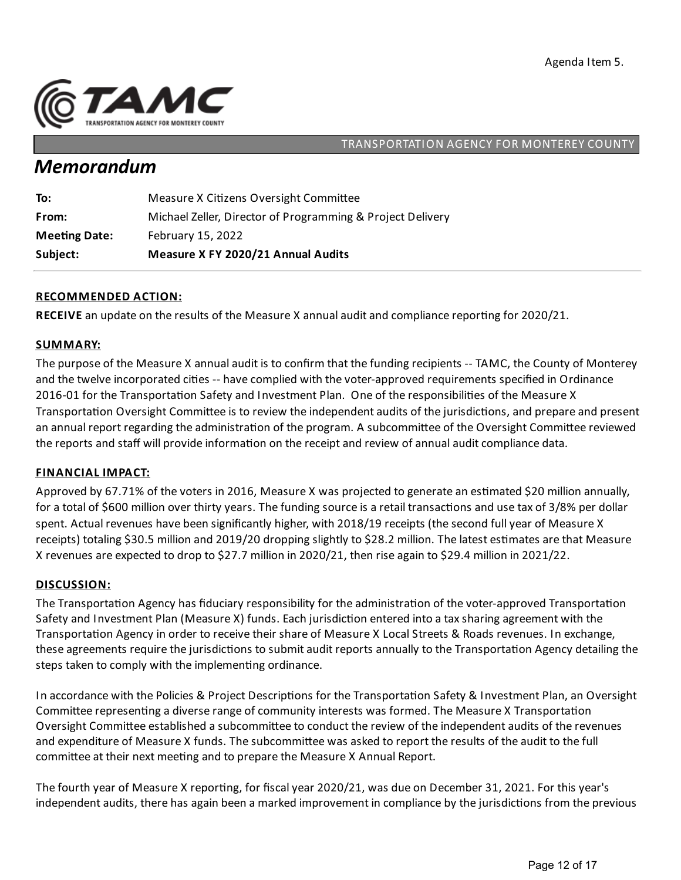

## *Memorandum*

| Subject:             | Measure X FY 2020/21 Annual Audits                         |
|----------------------|------------------------------------------------------------|
| <b>Meeting Date:</b> | February 15, 2022                                          |
| From:                | Michael Zeller, Director of Programming & Project Delivery |
| To:                  | Measure X Citizens Oversight Committee                     |

#### **RECOMMENDED ACTION:**

**RECEIVE** an update on the results of the Measure X annual audit and compliance reporting for 2020/21.

#### **SUMMARY:**

The purpose of the Measure X annual audit is to confirm that the funding recipients -- TAMC, the County of Monterey and the twelve incorporated cities -- have complied with the voter-approved requirements specified in Ordinance 2016-01 for the Transportation Safety and Investment Plan. One of the responsibilities of the Measure X Transportation Oversight Committee is to review the independent audits of the jurisdictions, and prepare and present an annual report regarding the administration of the program. A subcommittee of the Oversight Committee reviewed the reports and staff will provide information on the receipt and review of annual audit compliance data.

#### **FINANCIAL IMPACT:**

Approved by 67.71% of the voters in 2016, Measure X was projected to generate an estimated \$20 million annually, for a total of \$600 million over thirty years. The funding source is a retail transactions and use tax of 3/8% per dollar spent. Actual revenues have been significantly higher, with 2018/19 receipts (the second full year of Measure X receipts) totaling \$30.5 million and 2019/20 dropping slightly to \$28.2 million. The latest estimates are that Measure X revenues are expected to drop to \$27.7 million in 2020/21, then rise again to \$29.4 million in 2021/22.

#### **DISCUSSION:**

The Transportation Agency has fiduciary responsibility for the administration of the voter-approved Transportation Safety and Investment Plan (Measure X) funds. Each jurisdiction entered into a tax sharing agreement with the Transportation Agency in order to receive their share of Measure X Local Streets & Roads revenues. In exchange, these agreements require the jurisdictions to submit audit reports annually to the Transportation Agency detailing the steps taken to comply with the implementing ordinance.

In accordance with the Policies & Project Descriptions for the Transportation Safety & Investment Plan, an Oversight Committee representing a diverse range of community interests was formed. The Measure X Transportation Oversight Committee established a subcommittee to conduct the review of the independent audits of the revenues and expenditure of Measure X funds. The subcommittee was asked to report the results of the audit to the full committee at their next meeting and to prepare the Measure X Annual Report.

The fourth year of Measure X reporting, for fiscal year 2020/21, was due on December 31, 2021. For this year's independent audits, there has again been a marked improvement in compliance by the jurisdictions from the previous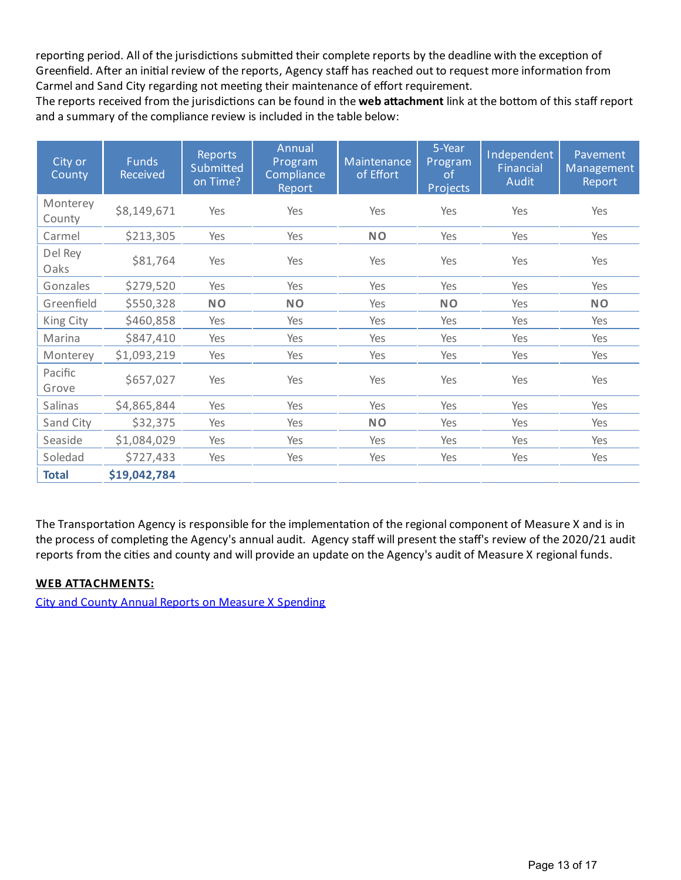reporting period. All of the jurisdictions submitted their complete reports by the deadline with the exception of Greenfield. After an initial review of the reports, Agency staff has reached out to request more information from Carmel and Sand City regarding not meeting their maintenance of effort requirement.

The reports received from the jurisdictions can be found in the web attachment link at the bottom of this staff report and a summary of the compliance review is included in the table below:

| City or<br>County  | <b>Funds</b><br><b>Received</b> | <b>Reports</b><br>Submitted<br>on Time? | Annual<br>Program<br>Compliance<br>Report | Maintenance<br>of Effort | 5-Year<br>Program<br><b>of</b><br>Projects | Independent<br><b>Financial</b><br><b>Audit</b> | Pavement<br>Management<br>Report |
|--------------------|---------------------------------|-----------------------------------------|-------------------------------------------|--------------------------|--------------------------------------------|-------------------------------------------------|----------------------------------|
| Monterey<br>County | \$8,149,671                     | Yes                                     | Yes                                       | Yes                      | Yes                                        | Yes                                             | Yes                              |
| Carmel             | \$213,305                       | Yes                                     | Yes                                       | <b>NO</b>                | Yes                                        | Yes                                             | Yes                              |
| Del Rey<br>Oaks    | \$81,764                        | Yes                                     | Yes                                       | Yes                      | Yes                                        | Yes                                             | Yes                              |
| Gonzales           | \$279,520                       | Yes                                     | Yes                                       | Yes                      | Yes                                        | Yes                                             | Yes                              |
| Greenfield         | \$550,328                       | <b>NO</b>                               | <b>NO</b>                                 | Yes                      | <b>NO</b>                                  | Yes                                             | <b>NO</b>                        |
| King City          | \$460,858                       | Yes                                     | Yes                                       | Yes                      | Yes                                        | Yes                                             | Yes                              |
| Marina             | \$847,410                       | Yes                                     | Yes                                       | Yes                      | Yes                                        | Yes                                             | Yes                              |
| Monterey           | \$1,093,219                     | Yes                                     | Yes                                       | Yes                      | Yes                                        | Yes                                             | Yes                              |
| Pacific<br>Grove   | \$657,027                       | Yes                                     | Yes                                       | Yes                      | Yes                                        | Yes                                             | Yes                              |
| Salinas            | \$4,865,844                     | Yes                                     | Yes                                       | Yes                      | Yes                                        | Yes                                             | Yes                              |
| Sand City          | \$32,375                        | Yes                                     | Yes                                       | <b>NO</b>                | Yes                                        | Yes                                             | Yes                              |
| Seaside            | \$1,084,029                     | Yes                                     | Yes                                       | Yes                      | Yes                                        | Yes                                             | Yes                              |
| Soledad            | \$727,433                       | Yes                                     | Yes                                       | Yes                      | Yes                                        | Yes                                             | Yes                              |
| <b>Total</b>       | \$19,042,784                    |                                         |                                           |                          |                                            |                                                 |                                  |

The Transportation Agency is responsible for the implementation of the regional component of Measure X and is in the process of completing the Agency's annual audit. Agency staff will present the staff's review of the 2020/21 audit reports from the cities and county and will provide an update on the Agency's audit of Measure X regional funds.

#### **WEB ATTACHMENTS:**

City and County Annual Reports on Measure X [Spending](https://www.tamcmonterey.org/city-and-county-annual-reports-on-measure-x-spending)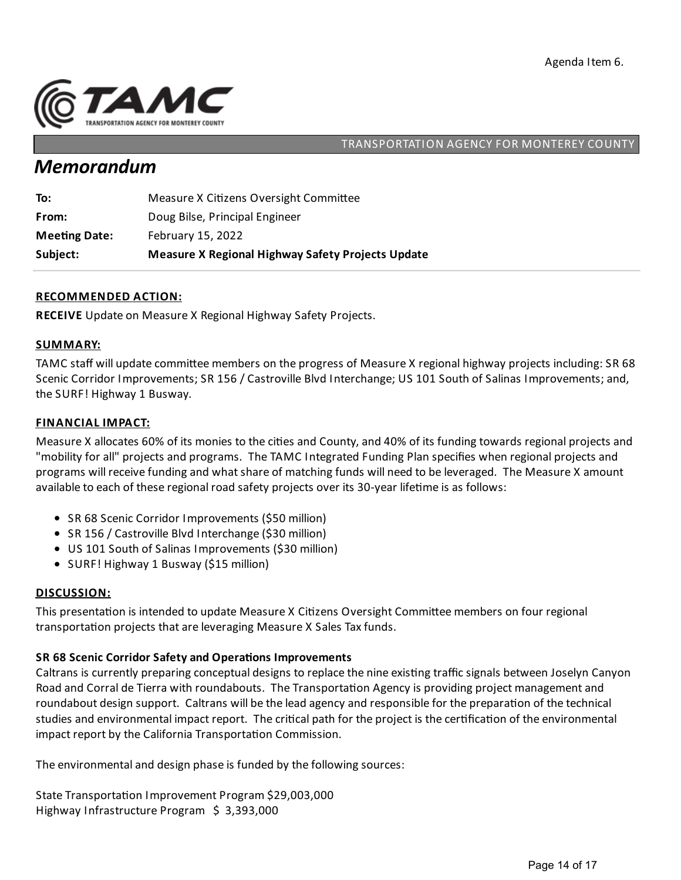

## *Memorandum*

| Subject:             | <b>Measure X Regional Highway Safety Projects Update</b> |
|----------------------|----------------------------------------------------------|
| <b>Meeting Date:</b> | February 15, 2022                                        |
| From:                | Doug Bilse, Principal Engineer                           |
| To:                  | Measure X Citizens Oversight Committee                   |

#### **RECOMMENDED ACTION:**

**RECEIVE** Update on Measure X Regional Highway Safety Projects.

#### **SUMMARY:**

TAMC staff will update committee members on the progress of Measure X regional highway projects including: SR 68 Scenic Corridor Improvements; SR 156 / Castroville Blvd Interchange; US 101 South of Salinas Improvements;and, the SURF! Highway 1 Busway.

#### **FINANCIAL IMPACT:**

Measure X allocates 60% of its monies to the cities and County, and 40% of its funding towards regional projects and "mobility for all" projects and programs. The TAMC Integrated Funding Plan specifies when regional projects and programs will receive funding and what share of matching funds will need to be leveraged. The Measure X amount available to each of these regional road safety projects over its 30-year lifeme is as follows:

- SR 68 Scenic Corridor Improvements (\$50 million)
- SR 156 / Castroville Blvd Interchange (\$30 million)
- US 101 South of Salinas Improvements (\$30 million)
- SURF! Highway 1 Busway (\$15 million)

#### **DISCUSSION:**

This presentation is intended to update Measure X Citizens Oversight Committee members on four regional transportation projects that are leveraging Measure X Sales Tax funds.

## **SR 68 Scenic Corridor Safety and Opera ons Improvements**

Caltrans is currently preparing conceptual designs to replace the nine existing traffic signals between Joselyn Canyon Road and Corral de Tierra with roundabouts. The Transportation Agency is providing project management and roundabout design support. Caltrans will be the lead agency and responsible for the preparation of the technical studies and environmental impact report. The critical path for the project is the certification of the environmental impact report by the California Transportation Commission.

The environmental and design phase is funded by the following sources:

State Transportation Improvement Program \$29,003,000 Highway Infrastructure Program \$ 3,393,000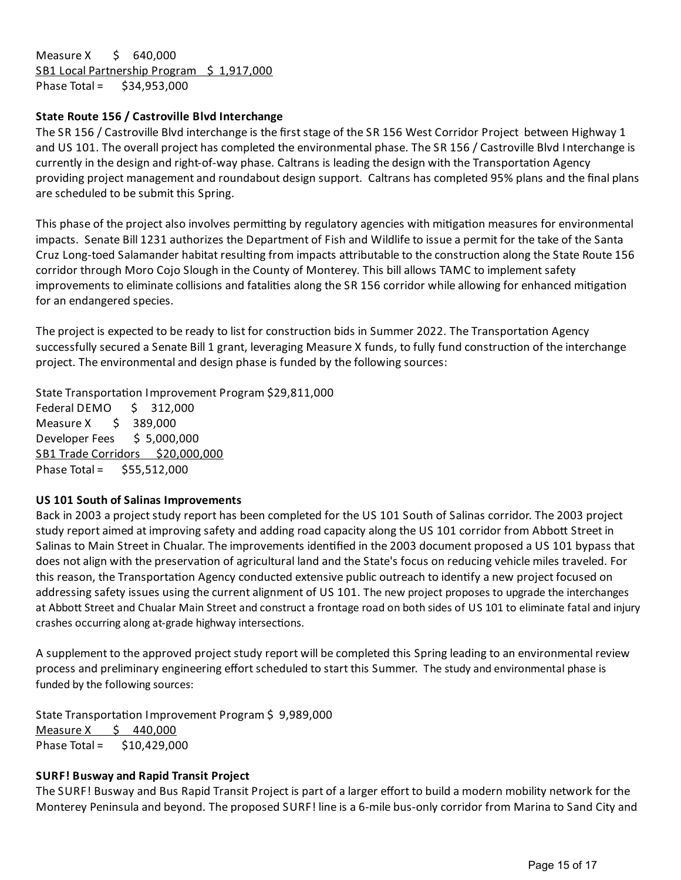Measure X \$ 640,000 SB1 Local Partnership Program \$ 1,917,000 Phase Total = \$34,953,000

#### **State Route 156 / Castroville Blvd Interchange**

The SR 156 / Castroville Blvd interchange is the first stage of the SR 156 West Corridor Project between Highway 1 and US 101. The overall project has completed the environmental phase. The SR 156 / Castroville Blvd Interchange is currently in the design and right-of-way phase. Caltrans is leading the design with the Transportation Agency providing project management and roundabout design support. Caltrans has completed 95% plans and the final plans are scheduled to be submit this Spring.

This phase of the project also involves permitting by regulatory agencies with mitigation measures for environmental impacts. Senate Bill 1231 authorizes the Department of Fish and Wildlife to issue a permit for the take of the Santa Cruz Long-toed Salamander habitat resulting from impacts attributable to the construction along the State Route 156 corridor through Moro Cojo Slough in the County of Monterey. This bill allows TAMC to implement safety improvements to eliminate collisions and fatalities along the SR 156 corridor while allowing for enhanced mitigation for an endangered species.

The project is expected to be ready to list for construction bids in Summer 2022. The Transportation Agency successfully secured a Senate Bill 1 grant, leveraging Measure X funds, to fully fund construction of the interchange project. The environmental and design phase is funded by the following sources:

State Transportation Improvement Program \$29,811,000

Federal DEMO \$ 312,000 Measure X \$ 389,000 Developer Fees \$ 5,000,000 SB1 Trade Corridors \$20,000,000 Phase Total =  $$55,512,000$ 

#### **US 101 South of Salinas Improvements**

Back in 2003 a project study report has been completed for the US 101 South of Salinas corridor. The 2003 project study report aimed at improving safety and adding road capacity along the US 101 corridor from Abbott Street in Salinas to Main Street in Chualar. The improvements idenfied in the 2003 document proposed a US 101 bypass that does not align with the preservation of agricultural land and the State's focus on reducing vehicle miles traveled. For this reason, the Transportation Agency conducted extensive public outreach to identify a new project focused on addressing safety issues using the current alignment of US 101. The new project proposes to upgrade the interchanges at Abbott Street and Chualar Main Street and construct a frontage road on both sides of US 101 to eliminate fatal and injury crashes occurring along at-grade highway intersections.

A supplement to the approved project study report will be completed this Spring leading to an environmental review process and preliminary engineering effort scheduled to start this Summer. The studyand environmental phase is funded by the following sources:

State Transportation Improvement Program \$9,989,000 Measure  $X \quad \xi \quad 440,000$ Phase Total = \$10,429,000

#### **SURF! Busway and Rapid Transit Project**

The SURF! Busway and Bus Rapid Transit Project is part of a larger effort to build a modern mobility network for the Monterey Peninsulaand beyond. The proposed SURF! line is a 6-mile bus-only corridor from Marinato Sand City and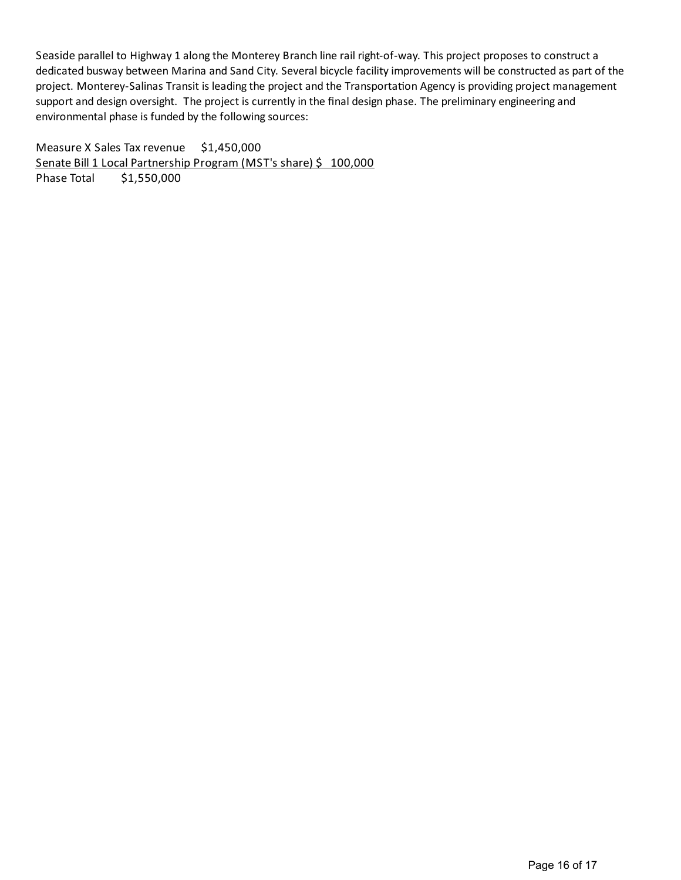Seaside parallel to Highway 1 along the Monterey Branch line rail right-of-way. This project proposes to construct a dedicated busway between Marina and Sand City. Several bicycle facilityimprovements will be constructed as part of the project. Monterey-Salinas Transit is leading the project and the Transportation Agency is providing project management support and design oversight. The project is currently in the final design phase. The preliminary engineering and environmental phase is funded by the following sources:

Measure X Sales Tax revenue \$1,450,000 Senate Bill 1 Local Partnership Program (MST's share) \$ 100,000 Phase Total \$1,550,000